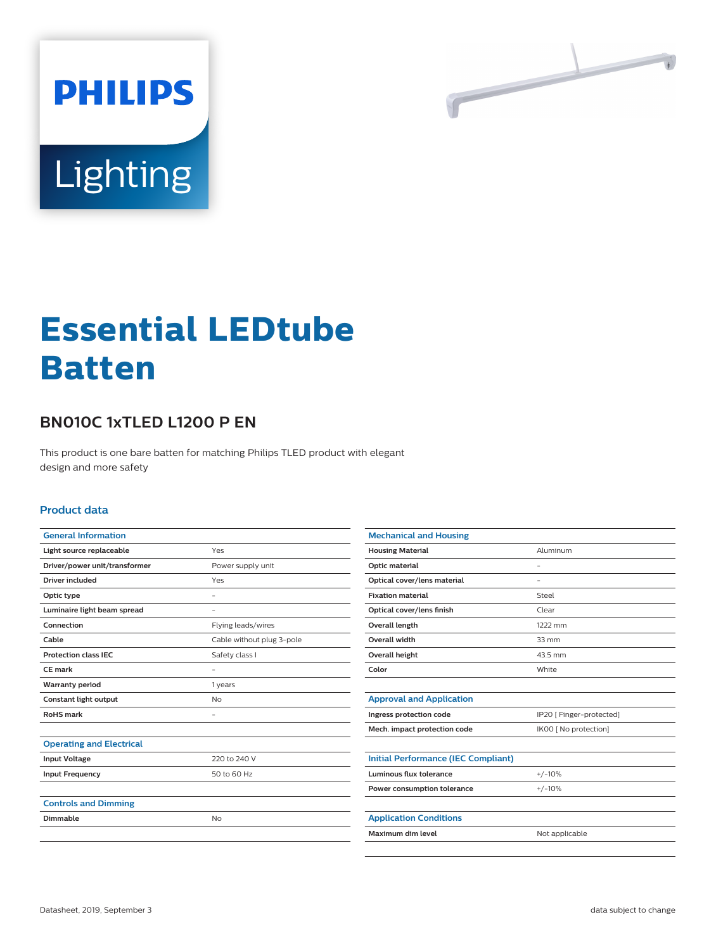

# Lighting

**PHILIPS** 

# **Essential LEDtube Batten**

## **BN010C 1xTLED L1200 P EN**

This product is one bare batten for matching Philips TLED product with elegant design and more safety

#### **Product data**

| <b>General Information</b>      |                           |
|---------------------------------|---------------------------|
| Light source replaceable        | Yes                       |
| Driver/power unit/transformer   | Power supply unit         |
| <b>Driver included</b>          | Yes                       |
| Optic type                      | ۰                         |
| Luminaire light beam spread     |                           |
| Connection                      | Flying leads/wires        |
| Cable                           | Cable without plug 3-pole |
| <b>Protection class IEC</b>     | Safety class I            |
| CF mark                         | ٠                         |
|                                 |                           |
| <b>Warranty period</b>          | 1 years                   |
| Constant light output           | No                        |
| <b>RoHS</b> mark                |                           |
|                                 |                           |
| <b>Operating and Electrical</b> |                           |
| <b>Input Voltage</b>            | 220 to 240 V              |
| <b>Input Frequency</b>          | 50 to 60 Hz               |
|                                 |                           |
| <b>Controls and Dimming</b>     |                           |
| Dimmable                        | <b>No</b>                 |

| <b>Mechanical and Housing</b>              |                          |
|--------------------------------------------|--------------------------|
| <b>Housing Material</b>                    | Aluminum                 |
| Optic material                             | ٠                        |
| Optical cover/lens material                |                          |
| <b>Fixation material</b>                   | Steel                    |
| Optical cover/lens finish                  | Clear                    |
| Overall length                             | 1222 mm                  |
| Overall width                              | $33 \, \text{mm}$        |
| Overall height                             | 43.5 mm                  |
| Color                                      | White                    |
|                                            |                          |
| <b>Approval and Application</b>            |                          |
| Ingress protection code                    | IP20 [ Finger-protected] |
| Mech. impact protection code               | IK00 [ No protection]    |
|                                            |                          |
| <b>Initial Performance (IEC Compliant)</b> |                          |
| Luminous flux tolerance                    | $+/-10%$                 |
| Power consumption tolerance                | $+/-10%$                 |
|                                            |                          |
| <b>Application Conditions</b>              |                          |
| Maximum dim level                          | Not applicable           |
|                                            |                          |